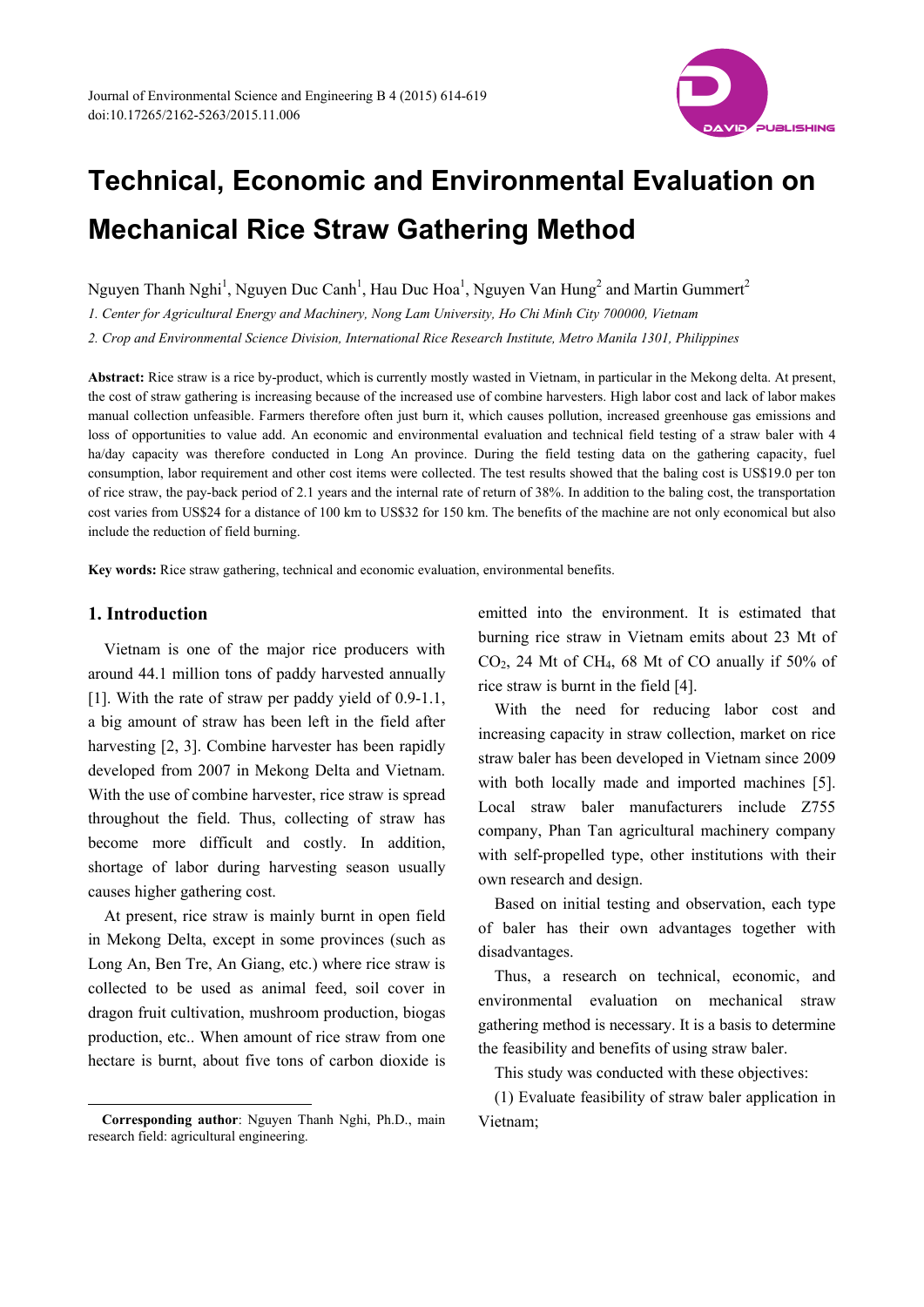

# **Technical, Economic and Environmental Evaluation on Mechanical Rice Straw Gathering Method**

Nguyen Thanh Nghi<sup>1</sup>, Nguyen Duc Canh<sup>1</sup>, Hau Duc Hoa<sup>1</sup>, Nguyen Van Hung<sup>2</sup> and Martin Gummert<sup>2</sup>

*1. Center for Agricultural Energy and Machinery, Nong Lam University, Ho Chi Minh City 700000, Vietnam* 

*2. Crop and Environmental Science Division, International Rice Research Institute, Metro Manila 1301, Philippines* 

**Abstract:** Rice straw is a rice by-product, which is currently mostly wasted in Vietnam, in particular in the Mekong delta. At present, the cost of straw gathering is increasing because of the increased use of combine harvesters. High labor cost and lack of labor makes manual collection unfeasible. Farmers therefore often just burn it, which causes pollution, increased greenhouse gas emissions and loss of opportunities to value add. An economic and environmental evaluation and technical field testing of a straw baler with 4 ha/day capacity was therefore conducted in Long An province. During the field testing data on the gathering capacity, fuel consumption, labor requirement and other cost items were collected. The test results showed that the baling cost is US\$19.0 per ton of rice straw, the pay-back period of 2.1 years and the internal rate of return of 38%. In addition to the baling cost, the transportation cost varies from US\$24 for a distance of 100 km to US\$32 for 150 km. The benefits of the machine are not only economical but also include the reduction of field burning.

**Key words:** Rice straw gathering, technical and economic evaluation, environmental benefits.

## **1. Introduction**

 $\overline{a}$ 

Vietnam is one of the major rice producers with around 44.1 million tons of paddy harvested annually [1]. With the rate of straw per paddy yield of 0.9-1.1, a big amount of straw has been left in the field after harvesting [2, 3]. Combine harvester has been rapidly developed from 2007 in Mekong Delta and Vietnam. With the use of combine harvester, rice straw is spread throughout the field. Thus, collecting of straw has become more difficult and costly. In addition, shortage of labor during harvesting season usually causes higher gathering cost.

At present, rice straw is mainly burnt in open field in Mekong Delta, except in some provinces (such as Long An, Ben Tre, An Giang, etc.) where rice straw is collected to be used as animal feed, soil cover in dragon fruit cultivation, mushroom production, biogas production, etc.. When amount of rice straw from one hectare is burnt, about five tons of carbon dioxide is emitted into the environment. It is estimated that burning rice straw in Vietnam emits about 23 Mt of CO2, 24 Mt of CH4, 68 Mt of CO anually if 50% of rice straw is burnt in the field [4].

With the need for reducing labor cost and increasing capacity in straw collection, market on rice straw baler has been developed in Vietnam since 2009 with both locally made and imported machines [5]. Local straw baler manufacturers include Z755 company, Phan Tan agricultural machinery company with self-propelled type, other institutions with their own research and design.

Based on initial testing and observation, each type of baler has their own advantages together with disadvantages.

Thus, a research on technical, economic, and environmental evaluation on mechanical straw gathering method is necessary. It is a basis to determine the feasibility and benefits of using straw baler.

This study was conducted with these objectives:

(1) Evaluate feasibility of straw baler application in Vietnam;

**Corresponding author**: Nguyen Thanh Nghi, Ph.D., main research field: agricultural engineering.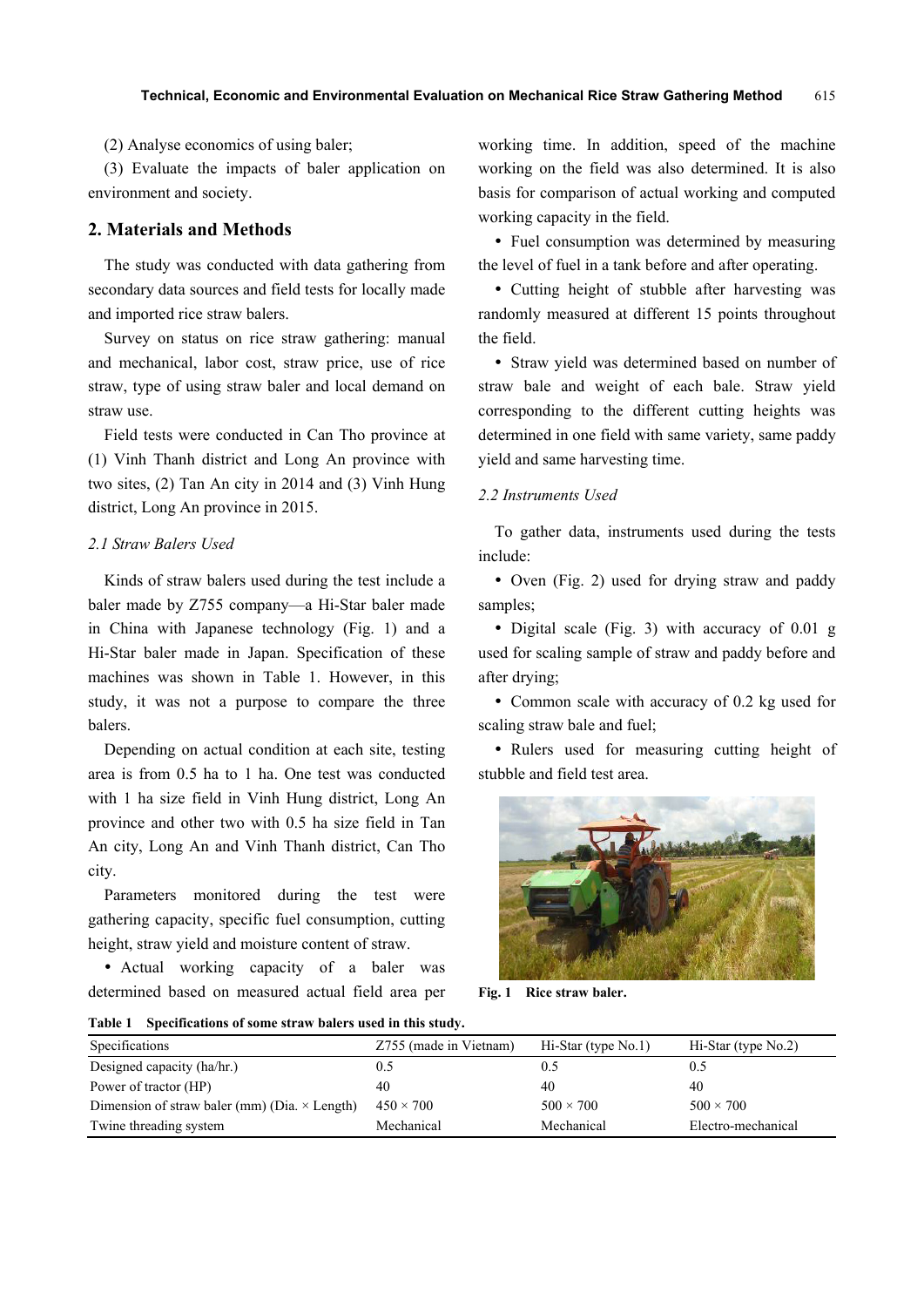(2) Analyse economics of using baler;

(3) Evaluate the impacts of baler application on environment and society.

# **2. Materials and Methods**

The study was conducted with data gathering from secondary data sources and field tests for locally made and imported rice straw balers.

Survey on status on rice straw gathering: manual and mechanical, labor cost, straw price, use of rice straw, type of using straw baler and local demand on straw use.

Field tests were conducted in Can Tho province at (1) Vinh Thanh district and Long An province with two sites, (2) Tan An city in 2014 and (3) Vinh Hung district, Long An province in 2015.

# *2.1 Straw Balers Used*

Kinds of straw balers used during the test include a baler made by Z755 company—a Hi-Star baler made in China with Japanese technology (Fig. 1) and a Hi-Star baler made in Japan. Specification of these machines was shown in Table 1. However, in this study, it was not a purpose to compare the three balers.

Depending on actual condition at each site, testing area is from 0.5 ha to 1 ha. One test was conducted with 1 ha size field in Vinh Hung district, Long An province and other two with 0.5 ha size field in Tan An city, Long An and Vinh Thanh district, Can Tho city.

Parameters monitored during the test were gathering capacity, specific fuel consumption, cutting height, straw yield and moisture content of straw.

 Actual working capacity of a baler was determined based on measured actual field area per working time. In addition, speed of the machine working on the field was also determined. It is also basis for comparison of actual working and computed working capacity in the field.

• Fuel consumption was determined by measuring the level of fuel in a tank before and after operating.

• Cutting height of stubble after harvesting was randomly measured at different 15 points throughout the field.

 Straw yield was determined based on number of straw bale and weight of each bale. Straw yield corresponding to the different cutting heights was determined in one field with same variety, same paddy yield and same harvesting time.

#### *2.2 Instruments Used*

To gather data, instruments used during the tests include:

• Oven (Fig. 2) used for drying straw and paddy samples;

• Digital scale (Fig. 3) with accuracy of 0.01 g used for scaling sample of straw and paddy before and after drying;

• Common scale with accuracy of 0.2 kg used for scaling straw bale and fuel;

• Rulers used for measuring cutting height of stubble and field test area.



**Fig. 1 Rice straw baler.** 

**Table 1 Specifications of some straw balers used in this study.** 

| Specifications                                       | Z755 (made in Vietnam) | $Hi-Star$ (type $No.1$ ) | $Hi-Star$ (type $No.2$ ) |
|------------------------------------------------------|------------------------|--------------------------|--------------------------|
| Designed capacity (ha/hr.)                           | 0.5                    | 0.5                      |                          |
| Power of tractor (HP)                                | 40                     | 40                       | 40                       |
| Dimension of straw baler (mm) (Dia. $\times$ Length) | $450 \times 700$       | $500 \times 700$         | $500 \times 700$         |
| Twine threading system                               | Mechanical             | Mechanical               | Electro-mechanical       |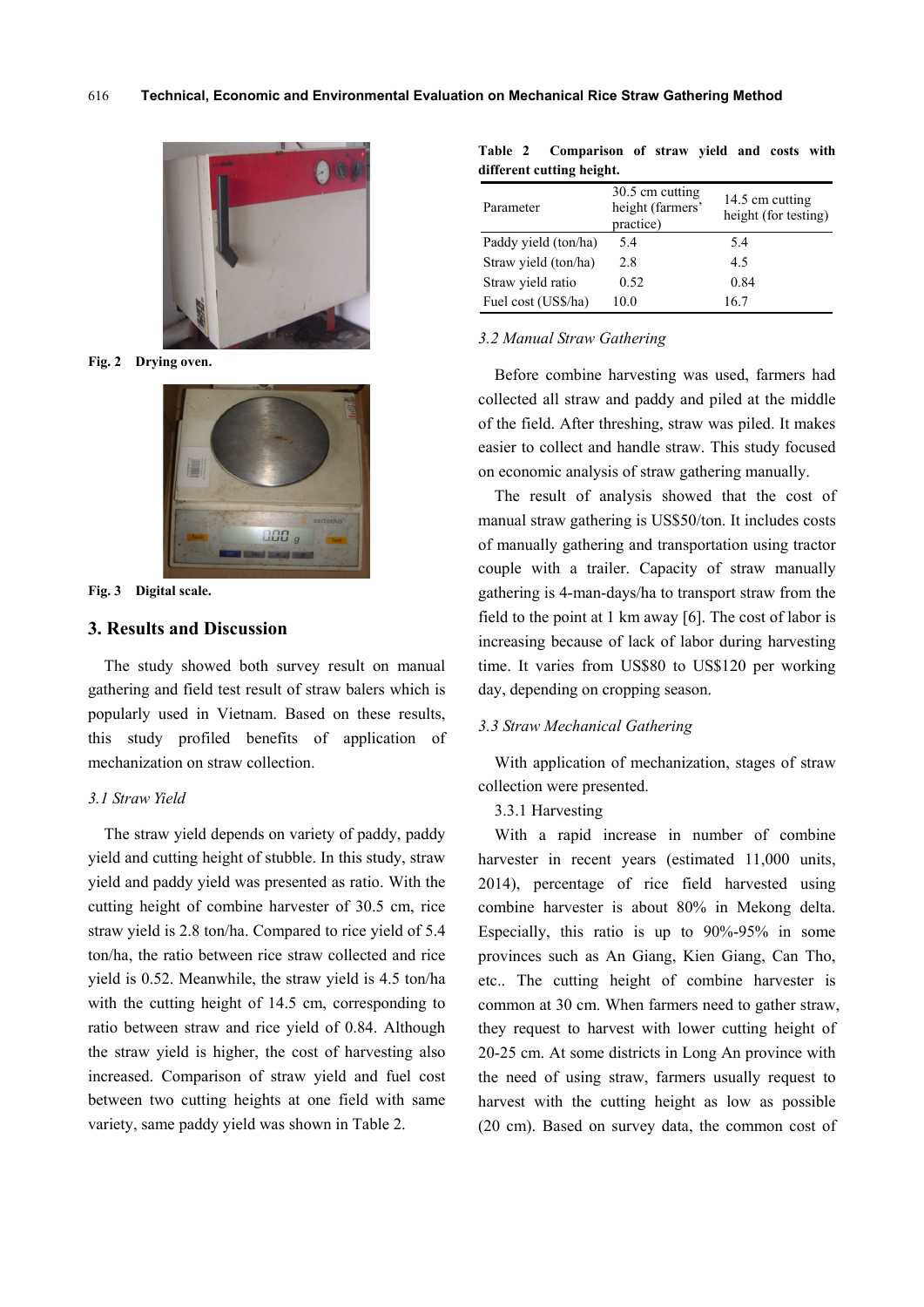

**Fig. 2 Drying oven.**



**Fig. 3 Digital scale.**

# **3. Results and Discussion**

The study showed both survey result on manual gathering and field test result of straw balers which is popularly used in Vietnam. Based on these results, this study profiled benefits of application of mechanization on straw collection.

## *3.1 Straw Yield*

The straw yield depends on variety of paddy, paddy yield and cutting height of stubble. In this study, straw yield and paddy yield was presented as ratio. With the cutting height of combine harvester of 30.5 cm, rice straw yield is 2.8 ton/ha. Compared to rice yield of 5.4 ton/ha, the ratio between rice straw collected and rice yield is 0.52. Meanwhile, the straw yield is 4.5 ton/ha with the cutting height of 14.5 cm, corresponding to ratio between straw and rice yield of 0.84. Although the straw yield is higher, the cost of harvesting also increased. Comparison of straw yield and fuel cost between two cutting heights at one field with same variety, same paddy yield was shown in Table 2.

| Table 2 | Comparison of straw yield and costs with |  |  |  |
|---------|------------------------------------------|--|--|--|
|         | different cutting height.                |  |  |  |

| Parameter            | 30.5 cm cutting<br>height (farmers'<br>practice) | 14.5 cm cutting<br>height (for testing) |
|----------------------|--------------------------------------------------|-----------------------------------------|
| Paddy yield (ton/ha) | 54                                               | 5.4                                     |
| Straw yield (ton/ha) | 2.8                                              | 45                                      |
| Straw yield ratio    | 0.52                                             | 0.84                                    |
| Fuel cost (US\$/ha)  | 10 0                                             | 16.7                                    |

#### *3.2 Manual Straw Gathering*

Before combine harvesting was used, farmers had collected all straw and paddy and piled at the middle of the field. After threshing, straw was piled. It makes easier to collect and handle straw. This study focused on economic analysis of straw gathering manually.

The result of analysis showed that the cost of manual straw gathering is US\$50/ton. It includes costs of manually gathering and transportation using tractor couple with a trailer. Capacity of straw manually gathering is 4-man-days/ha to transport straw from the field to the point at 1 km away [6]. The cost of labor is increasing because of lack of labor during harvesting time. It varies from US\$80 to US\$120 per working day, depending on cropping season.

#### *3.3 Straw Mechanical Gathering*

With application of mechanization, stages of straw collection were presented.

3.3.1 Harvesting

With a rapid increase in number of combine harvester in recent years (estimated 11,000 units, 2014), percentage of rice field harvested using combine harvester is about 80% in Mekong delta. Especially, this ratio is up to 90%-95% in some provinces such as An Giang, Kien Giang, Can Tho, etc.. The cutting height of combine harvester is common at 30 cm. When farmers need to gather straw, they request to harvest with lower cutting height of 20-25 cm. At some districts in Long An province with the need of using straw, farmers usually request to harvest with the cutting height as low as possible (20 cm). Based on survey data, the common cost of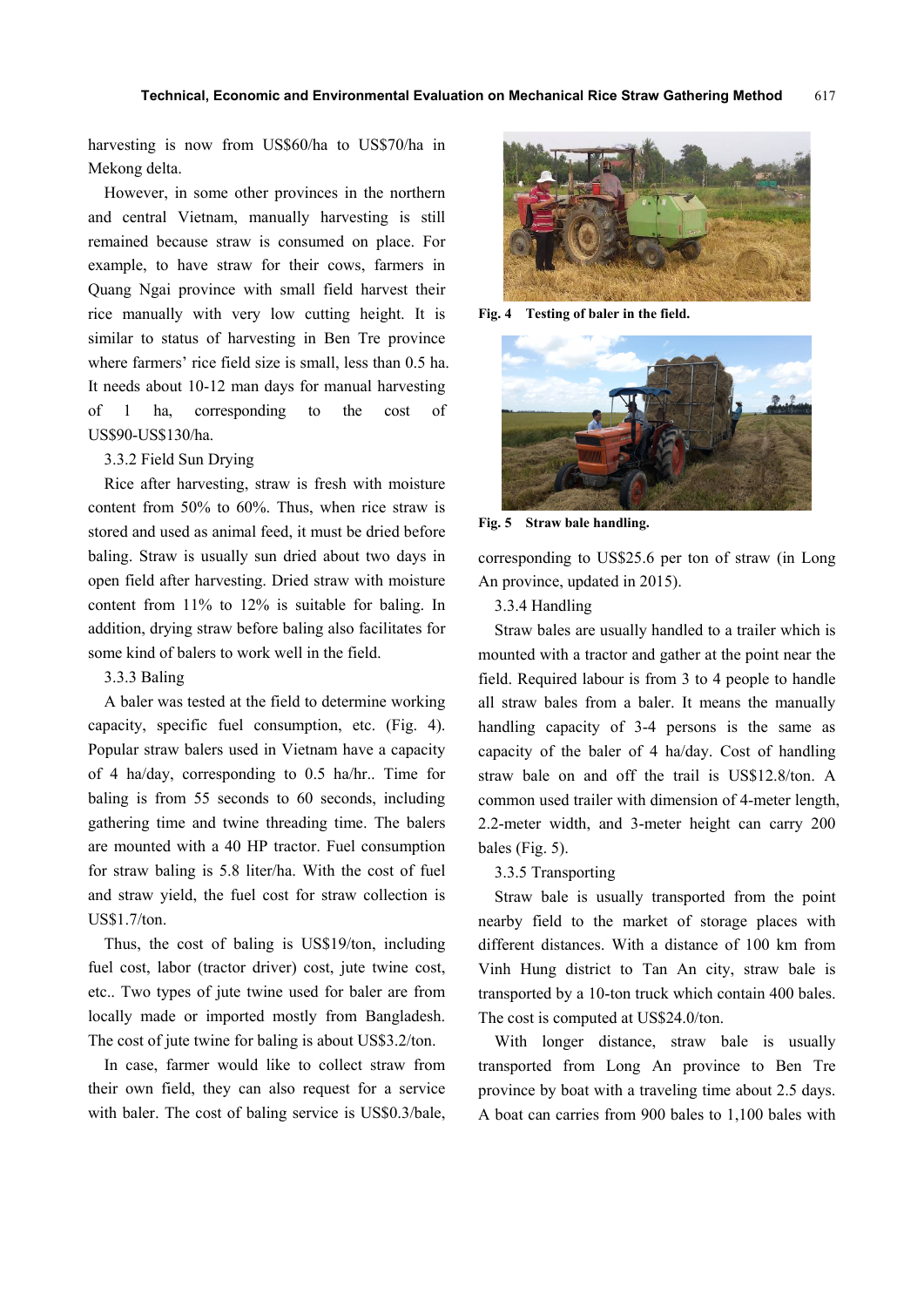harvesting is now from US\$60/ha to US\$70/ha in Mekong delta.

However, in some other provinces in the northern and central Vietnam, manually harvesting is still remained because straw is consumed on place. For example, to have straw for their cows, farmers in Quang Ngai province with small field harvest their rice manually with very low cutting height. It is similar to status of harvesting in Ben Tre province where farmers' rice field size is small, less than 0.5 ha. It needs about 10-12 man days for manual harvesting of 1 ha, corresponding to the cost of US\$90-US\$130/ha.

#### 3.3.2 Field Sun Drying

Rice after harvesting, straw is fresh with moisture content from 50% to 60%. Thus, when rice straw is stored and used as animal feed, it must be dried before baling. Straw is usually sun dried about two days in open field after harvesting. Dried straw with moisture content from 11% to 12% is suitable for baling. In addition, drying straw before baling also facilitates for some kind of balers to work well in the field.

## 3.3.3 Baling

A baler was tested at the field to determine working capacity, specific fuel consumption, etc. (Fig. 4). Popular straw balers used in Vietnam have a capacity of 4 ha/day, corresponding to 0.5 ha/hr.. Time for baling is from 55 seconds to 60 seconds, including gathering time and twine threading time. The balers are mounted with a 40 HP tractor. Fuel consumption for straw baling is 5.8 liter/ha. With the cost of fuel and straw yield, the fuel cost for straw collection is US\$1.7/ton.

Thus, the cost of baling is US\$19/ton, including fuel cost, labor (tractor driver) cost, jute twine cost, etc.. Two types of jute twine used for baler are from locally made or imported mostly from Bangladesh. The cost of jute twine for baling is about US\$3.2/ton.

In case, farmer would like to collect straw from their own field, they can also request for a service with baler. The cost of baling service is US\$0.3/bale,



**Fig. 4 Testing of baler in the field.** 



**Fig. 5 Straw bale handling.** 

corresponding to US\$25.6 per ton of straw (in Long An province, updated in 2015).

## 3.3.4 Handling

Straw bales are usually handled to a trailer which is mounted with a tractor and gather at the point near the field. Required labour is from 3 to 4 people to handle all straw bales from a baler. It means the manually handling capacity of 3-4 persons is the same as capacity of the baler of 4 ha/day. Cost of handling straw bale on and off the trail is US\$12.8/ton. A common used trailer with dimension of 4-meter length, 2.2-meter width, and 3-meter height can carry 200 bales (Fig. 5).

## 3.3.5 Transporting

Straw bale is usually transported from the point nearby field to the market of storage places with different distances. With a distance of 100 km from Vinh Hung district to Tan An city, straw bale is transported by a 10-ton truck which contain 400 bales. The cost is computed at US\$24.0/ton.

With longer distance, straw bale is usually transported from Long An province to Ben Tre province by boat with a traveling time about 2.5 days. A boat can carries from 900 bales to 1,100 bales with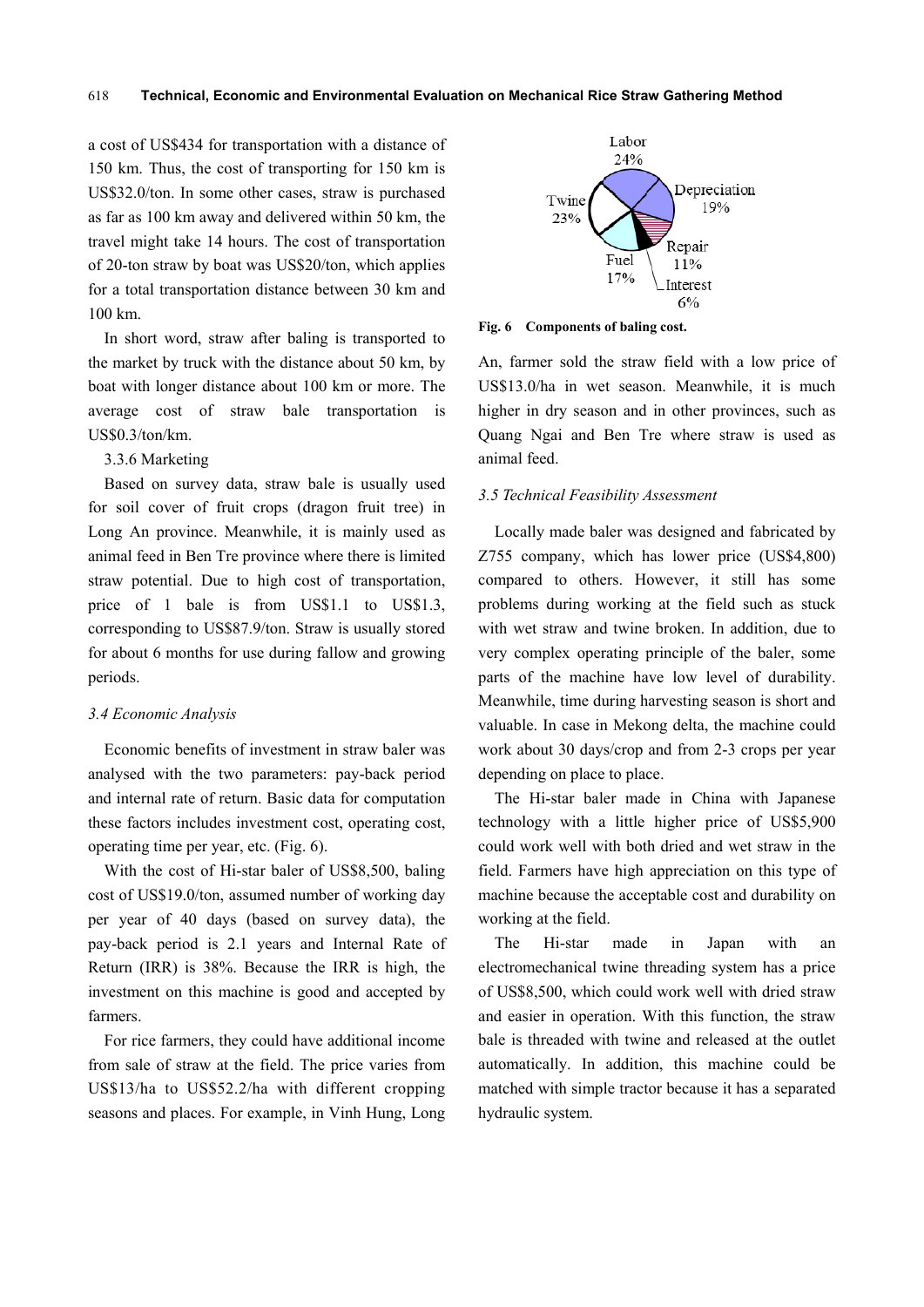a cost of US\$434 for transportation with a distance of 150 km. Thus, the cost of transporting for 150 km is US\$32.0/ton. In some other cases, straw is purchased as far as 100 km away and delivered within 50 km, the travel might take 14 hours. The cost of transportation of 20-ton straw by boat was US\$20/ton, which applies for a total transportation distance between 30 km and 100 km.

In short word, straw after baling is transported to the market by truck with the distance about 50 km, by boat with longer distance about 100 km or more. The average cost of straw bale transportation is US\$0.3/ton/km.

## 3.3.6 Marketing

Based on survey data, straw bale is usually used for soil cover of fruit crops (dragon fruit tree) in Long An province. Meanwhile, it is mainly used as animal feed in Ben Tre province where there is limited straw potential. Due to high cost of transportation, price of 1 bale is from US\$1.1 to US\$1.3, corresponding to US\$87.9/ton. Straw is usually stored for about 6 months for use during fallow and growing periods.

#### *3.4 Economic Analysis*

Economic benefits of investment in straw baler was analysed with the two parameters: pay-back period and internal rate of return. Basic data for computation these factors includes investment cost, operating cost, operating time per year, etc. (Fig. 6).

With the cost of Hi-star baler of US\$8,500, baling cost of US\$19.0/ton, assumed number of working day per year of 40 days (based on survey data), the pay-back period is 2.1 years and Internal Rate of Return (IRR) is 38%. Because the IRR is high, the investment on this machine is good and accepted by farmers.

For rice farmers, they could have additional income from sale of straw at the field. The price varies from US\$13/ha to US\$52.2/ha with different cropping seasons and places. For example, in Vinh Hung, Long



**Fig. 6 Components of baling cost.** 

An, farmer sold the straw field with a low price of US\$13.0/ha in wet season. Meanwhile, it is much higher in dry season and in other provinces, such as Quang Ngai and Ben Tre where straw is used as animal feed.

#### *3.5 Technical Feasibility Assessment*

Locally made baler was designed and fabricated by Z755 company, which has lower price (US\$4,800) compared to others. However, it still has some problems during working at the field such as stuck with wet straw and twine broken. In addition, due to very complex operating principle of the baler, some parts of the machine have low level of durability. Meanwhile, time during harvesting season is short and valuable. In case in Mekong delta, the machine could work about 30 days/crop and from 2-3 crops per year depending on place to place.

The Hi-star baler made in China with Japanese technology with a little higher price of US\$5,900 could work well with both dried and wet straw in the field. Farmers have high appreciation on this type of machine because the acceptable cost and durability on working at the field.

The Hi-star made in Japan with an electromechanical twine threading system has a price of US\$8,500, which could work well with dried straw and easier in operation. With this function, the straw bale is threaded with twine and released at the outlet automatically. In addition, this machine could be matched with simple tractor because it has a separated hydraulic system.